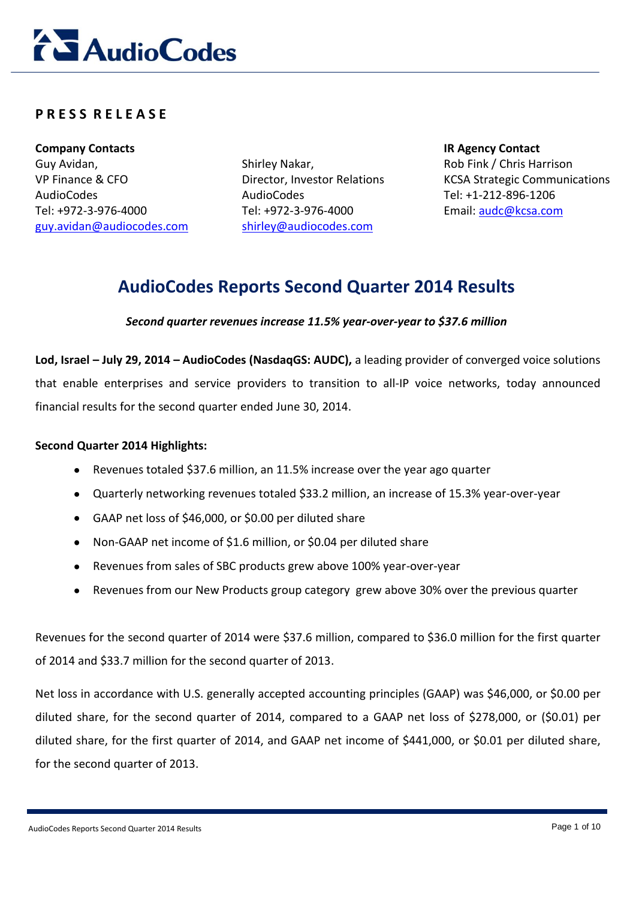

## **P R E S S R E L E A S E**

**Company Contacts IR Agency Contact** Guy Avidan, VP Finance & CFO AudioCodes Tel: +972-3-976-4000 [guy.avidan@audiocodes.com](mailto:guy.avidan@audiocodes.com)

Shirley Nakar, Director, Investor Relations AudioCodes Tel: +972-3-976-4000 [shirley@audiocodes.com](mailto:shirley@audiocodes.com)

Rob Fink / Chris Harrison KCSA Strategic Communications Tel: +1-212-896-1206 Email: [audc@kcsa.com](mailto:audc@kcsa.com)

## **AudioCodes Reports Second Quarter 2014 Results**

### *Second quarter revenues increase 11.5% year-over-year to \$37.6 million*

**Lod, Israel – July 29, 2014 – AudioCodes (NasdaqGS: AUDC),** a leading provider of converged voice solutions that enable enterprises and service providers to transition to all-IP voice networks, today announced financial results for the second quarter ended June 30, 2014.

#### **Second Quarter 2014 Highlights:**

- Revenues totaled \$37.6 million, an 11.5% increase over the year ago quarter
- Quarterly networking revenues totaled \$33.2 million, an increase of 15.3% year-over-year
- GAAP net loss of \$46,000, or \$0.00 per diluted share
- Non-GAAP net income of \$1.6 million, or \$0.04 per diluted share
- Revenues from sales of SBC products grew above 100% year-over-year
- Revenues from our New Products group category grew above 30% over the previous quarter

Revenues for the second quarter of 2014 were \$37.6 million, compared to \$36.0 million for the first quarter of 2014 and \$33.7 million for the second quarter of 2013.

Net loss in accordance with U.S. generally accepted accounting principles (GAAP) was \$46,000, or \$0.00 per diluted share, for the second quarter of 2014, compared to a GAAP net loss of \$278,000, or (\$0.01) per diluted share, for the first quarter of 2014, and GAAP net income of \$441,000, or \$0.01 per diluted share, for the second quarter of 2013.

AudioCodes Reports Second Quarter 2014 Results **Page 1 of 10** Page 1 of 10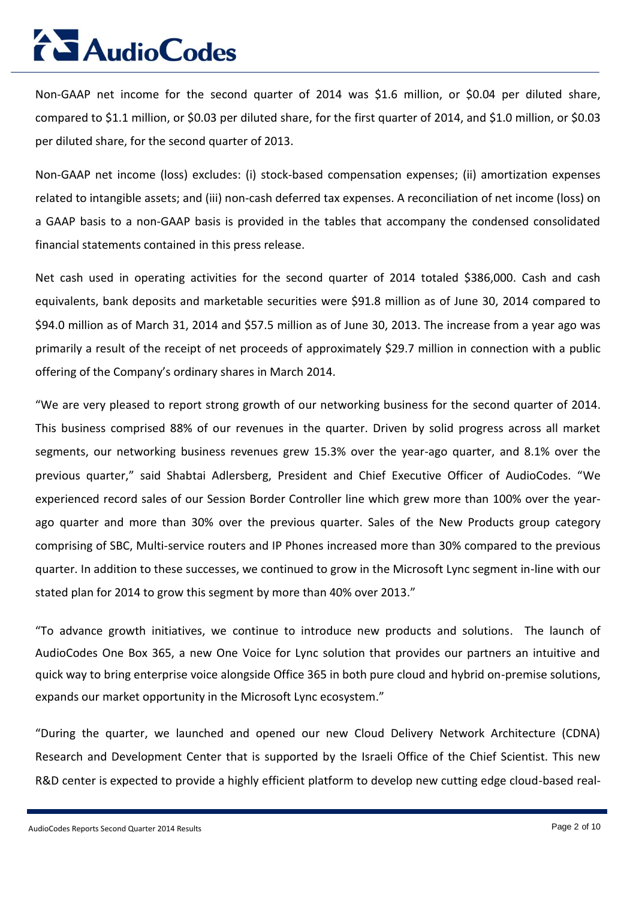Non-GAAP net income for the second quarter of 2014 was \$1.6 million, or \$0.04 per diluted share, compared to \$1.1 million, or \$0.03 per diluted share, for the first quarter of 2014, and \$1.0 million, or \$0.03 per diluted share, for the second quarter of 2013.

Non-GAAP net income (loss) excludes: (i) stock-based compensation expenses; (ii) amortization expenses related to intangible assets; and (iii) non-cash deferred tax expenses. A reconciliation of net income (loss) on a GAAP basis to a non-GAAP basis is provided in the tables that accompany the condensed consolidated financial statements contained in this press release.

Net cash used in operating activities for the second quarter of 2014 totaled \$386,000. Cash and cash equivalents, bank deposits and marketable securities were \$91.8 million as of June 30, 2014 compared to \$94.0 million as of March 31, 2014 and \$57.5 million as of June 30, 2013. The increase from a year ago was primarily a result of the receipt of net proceeds of approximately \$29.7 million in connection with a public offering of the Company's ordinary shares in March 2014.

"We are very pleased to report strong growth of our networking business for the second quarter of 2014. This business comprised 88% of our revenues in the quarter. Driven by solid progress across all market segments, our networking business revenues grew 15.3% over the year-ago quarter, and 8.1% over the previous quarter," said Shabtai Adlersberg, President and Chief Executive Officer of AudioCodes. "We experienced record sales of our Session Border Controller line which grew more than 100% over the yearago quarter and more than 30% over the previous quarter. Sales of the New Products group category comprising of SBC, Multi-service routers and IP Phones increased more than 30% compared to the previous quarter. In addition to these successes, we continued to grow in the Microsoft Lync segment in-line with our stated plan for 2014 to grow this segment by more than 40% over 2013."

"To advance growth initiatives, we continue to introduce new products and solutions. The launch of AudioCodes One Box 365, a new One Voice for Lync solution that provides our partners an intuitive and quick way to bring enterprise voice alongside Office 365 in both pure cloud and hybrid on-premise solutions, expands our market opportunity in the Microsoft Lync ecosystem."

"During the quarter, we launched and opened our new Cloud Delivery Network Architecture (CDNA) Research and Development Center that is supported by the Israeli Office of the Chief Scientist. This new R&D center is expected to provide a highly efficient platform to develop new cutting edge cloud-based real-

AudioCodes Reports Second Quarter 2014 Results **Page 2 of 10** Page 2 of 10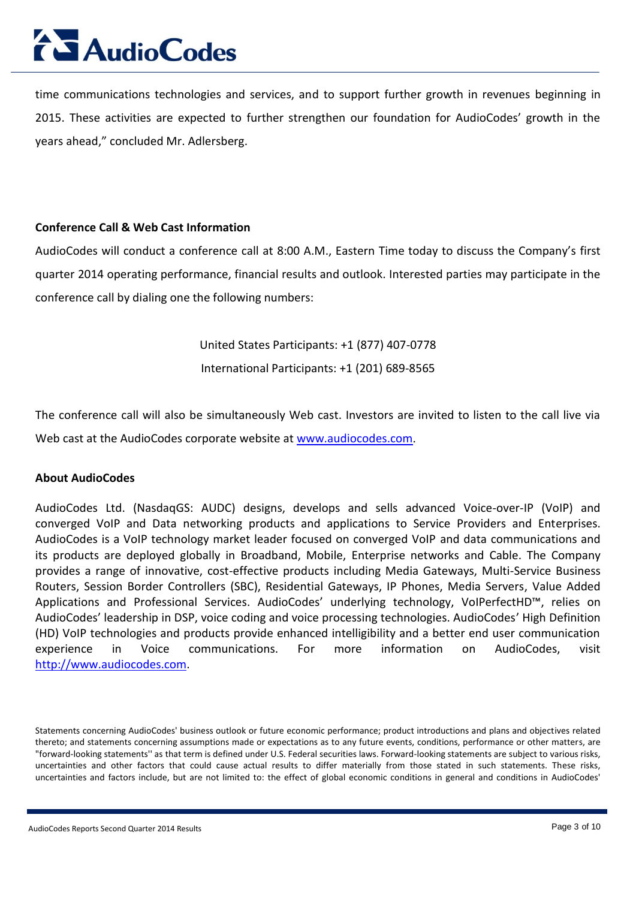time communications technologies and services, and to support further growth in revenues beginning in 2015. These activities are expected to further strengthen our foundation for AudioCodes' growth in the years ahead," concluded Mr. Adlersberg.

### **Conference Call & Web Cast Information**

AudioCodes will conduct a conference call at 8:00 A.M., Eastern Time today to discuss the Company's first quarter 2014 operating performance, financial results and outlook. Interested parties may participate in the conference call by dialing one the following numbers:

United States Participants: +1 (877) 407-0778

International Participants: +1 (201) 689-8565

The conference call will also be simultaneously Web cast. Investors are invited to listen to the call live via Web cast at the AudioCodes corporate website at [www.audiocodes.com](http://www.audiocodes.com/).

### **About AudioCodes**

AudioCodes Ltd. (NasdaqGS: AUDC) designs, develops and sells advanced Voice-over-IP (VoIP) and converged VoIP and Data networking products and applications to Service Providers and Enterprises. AudioCodes is a VoIP technology market leader focused on converged VoIP and data communications and its products are deployed globally in Broadband, Mobile, Enterprise networks and Cable. The Company provides a range of innovative, cost-effective products including Media Gateways, Multi-Service Business Routers, Session Border Controllers (SBC), Residential Gateways, IP Phones, Media Servers, Value Added Applications and Professional Services. AudioCodes' underlying technology, VoIPerfectHD™, relies on AudioCodes' leadership in DSP, voice coding and voice processing technologies. AudioCodes' High Definition (HD) VoIP technologies and products provide enhanced intelligibility and a better end user communication experience in Voice communications. For more information on AudioCodes, visit [http://www.audiocodes.com.](http://www.audiocodes.com/)

Statements concerning AudioCodes' business outlook or future economic performance; product introductions and plans and objectives related thereto; and statements concerning assumptions made or expectations as to any future events, conditions, performance or other matters, are "forward-looking statements'' as that term is defined under U.S. Federal securities laws. Forward-looking statements are subject to various risks, uncertainties and other factors that could cause actual results to differ materially from those stated in such statements. These risks, uncertainties and factors include, but are not limited to: the effect of global economic conditions in general and conditions in AudioCodes'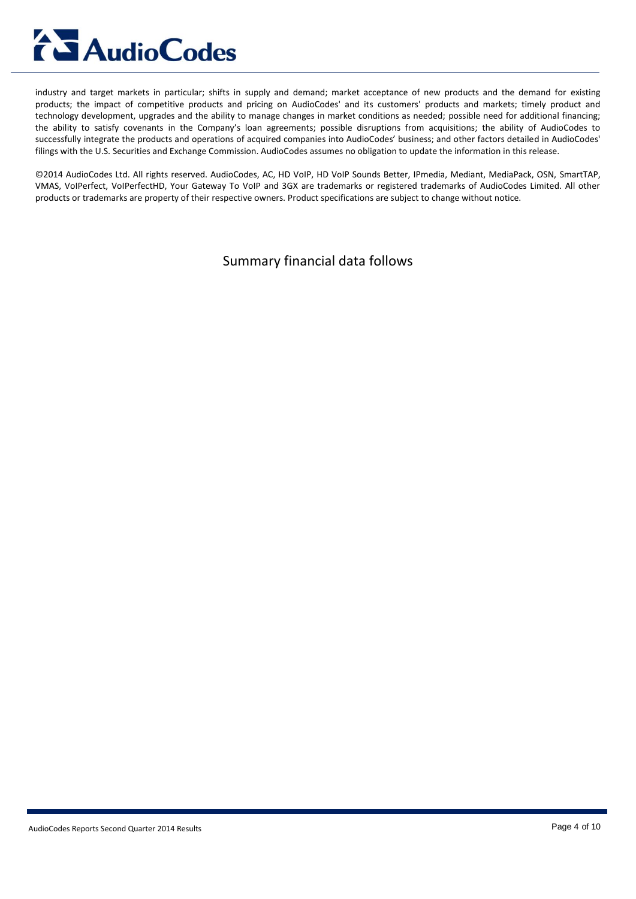industry and target markets in particular; shifts in supply and demand; market acceptance of new products and the demand for existing products; the impact of competitive products and pricing on AudioCodes' and its customers' products and markets; timely product and technology development, upgrades and the ability to manage changes in market conditions as needed; possible need for additional financing; the ability to satisfy covenants in the Company's loan agreements; possible disruptions from acquisitions; the ability of AudioCodes to successfully integrate the products and operations of acquired companies into AudioCodes' business; and other factors detailed in AudioCodes' filings with the U.S. Securities and Exchange Commission. AudioCodes assumes no obligation to update the information in this release.

©2014 AudioCodes Ltd. All rights reserved. AudioCodes, AC, HD VoIP, HD VoIP Sounds Better, IPmedia, Mediant, MediaPack, OSN, SmartTAP, VMAS, VoIPerfect, VoIPerfectHD, Your Gateway To VoIP and 3GX are trademarks or registered trademarks of AudioCodes Limited. All other products or trademarks are property of their respective owners. Product specifications are subject to change without notice.

Summary financial data follows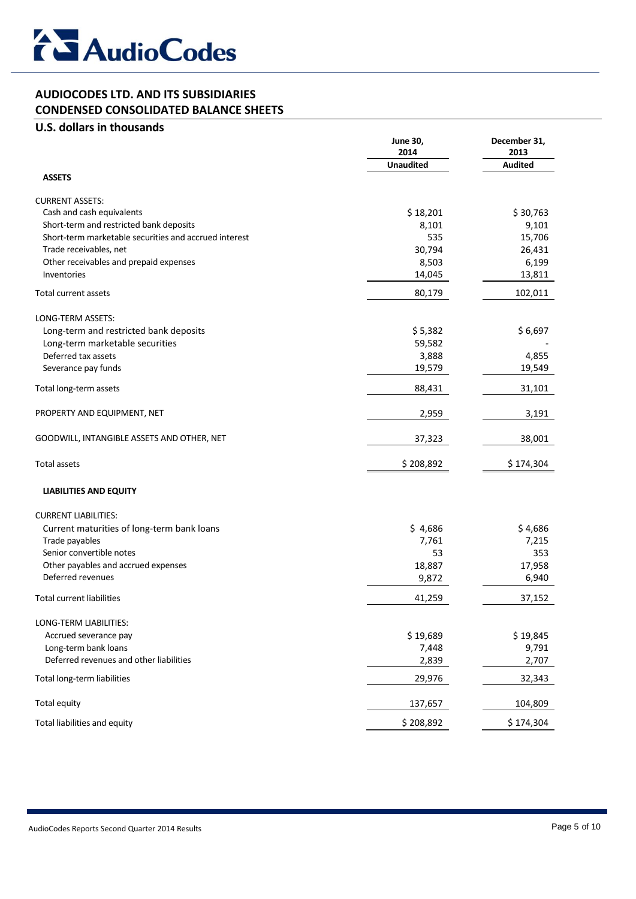

## **AUDIOCODES LTD. AND ITS SUBSIDIARIES**

## **CONDENSED CONSOLIDATED BALANCE SHEETS**

## **U.S. dollars in thousands**

|                                                                      | <b>June 30,</b><br>2014 | December 31,<br>2013 |  |
|----------------------------------------------------------------------|-------------------------|----------------------|--|
| <b>ASSETS</b>                                                        | <b>Unaudited</b>        | <b>Audited</b>       |  |
|                                                                      |                         |                      |  |
| <b>CURRENT ASSETS:</b>                                               |                         |                      |  |
| Cash and cash equivalents<br>Short-term and restricted bank deposits | \$18,201                | \$30,763             |  |
| Short-term marketable securities and accrued interest                | 8,101<br>535            | 9,101<br>15,706      |  |
| Trade receivables, net                                               | 30,794                  | 26,431               |  |
| Other receivables and prepaid expenses                               | 8,503                   | 6,199                |  |
| Inventories                                                          | 14,045                  | 13,811               |  |
| Total current assets                                                 | 80,179                  | 102,011              |  |
|                                                                      |                         |                      |  |
| LONG-TERM ASSETS:                                                    |                         |                      |  |
| Long-term and restricted bank deposits                               | \$5,382                 | \$6,697              |  |
| Long-term marketable securities                                      | 59,582                  |                      |  |
| Deferred tax assets                                                  | 3,888                   | 4,855                |  |
| Severance pay funds                                                  | 19,579                  | 19,549               |  |
| Total long-term assets                                               | 88,431                  | 31,101               |  |
| PROPERTY AND EQUIPMENT, NET                                          | 2,959                   | 3,191                |  |
| GOODWILL, INTANGIBLE ASSETS AND OTHER, NET                           | 37,323                  | 38,001               |  |
| <b>Total assets</b>                                                  | \$208,892               | \$174,304            |  |
| <b>LIABILITIES AND EQUITY</b>                                        |                         |                      |  |
| <b>CURRENT LIABILITIES:</b>                                          |                         |                      |  |
| Current maturities of long-term bank loans                           | \$4,686                 | \$4,686              |  |
| Trade payables                                                       | 7,761                   | 7,215                |  |
| Senior convertible notes                                             | 53                      | 353                  |  |
| Other payables and accrued expenses                                  | 18,887                  | 17,958               |  |
| Deferred revenues                                                    | 9,872                   | 6,940                |  |
| <b>Total current liabilities</b>                                     | 41,259                  | 37,152               |  |
| LONG-TERM LIABILITIES:                                               |                         |                      |  |
| Accrued severance pay                                                | \$19,689                | \$19,845             |  |
| Long-term bank loans                                                 | 7,448                   | 9,791                |  |
| Deferred revenues and other liabilities                              | 2,839                   | 2,707                |  |
| Total long-term liabilities                                          | 29,976                  | 32,343               |  |
| Total equity                                                         | 137,657                 | 104,809              |  |
| Total liabilities and equity                                         | \$208,892               | \$174,304            |  |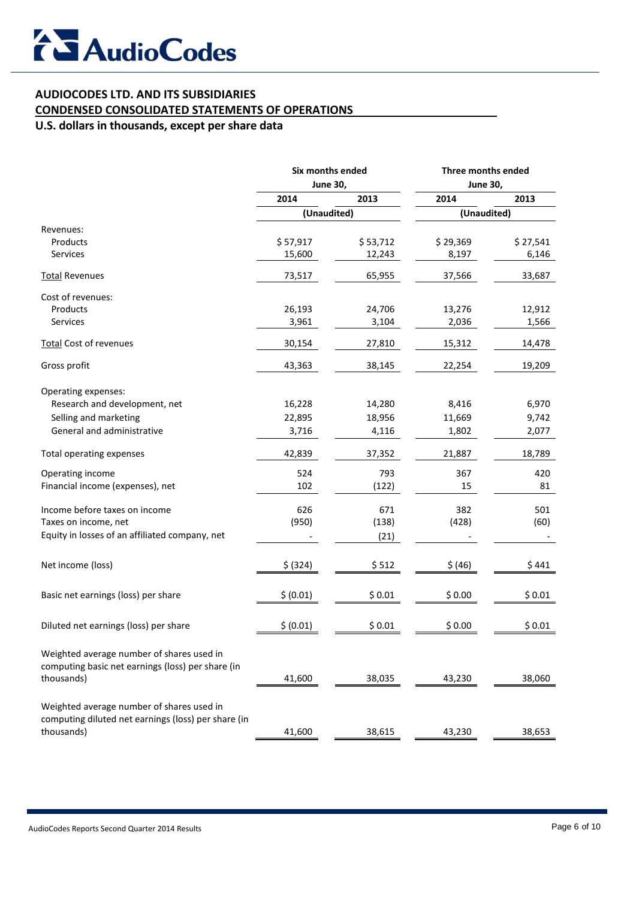## **AUDIOCODES LTD. AND ITS SUBSIDIARIES**

## **CONDENSED CONSOLIDATED STATEMENTS OF OPERATIONS**

## **U.S. dollars in thousands, except per share data**

|                                                     | Six months ended<br><b>June 30,</b> |          | Three months ended<br><b>June 30,</b> |          |
|-----------------------------------------------------|-------------------------------------|----------|---------------------------------------|----------|
|                                                     |                                     |          |                                       |          |
|                                                     | 2014                                | 2013     | 2014                                  | 2013     |
|                                                     | (Unaudited)                         |          | (Unaudited)                           |          |
| Revenues:                                           |                                     |          |                                       |          |
| Products                                            | \$57,917                            | \$53,712 | \$29,369                              | \$27,541 |
| Services                                            | 15,600                              | 12,243   | 8,197                                 | 6,146    |
| <b>Total Revenues</b>                               | 73,517                              | 65,955   | 37,566                                | 33,687   |
| Cost of revenues:                                   |                                     |          |                                       |          |
| Products                                            | 26,193                              | 24,706   | 13,276                                | 12,912   |
| <b>Services</b>                                     | 3,961                               | 3,104    | 2,036                                 | 1,566    |
| <b>Total Cost of revenues</b>                       | 30,154                              | 27,810   | 15,312                                | 14,478   |
| Gross profit                                        | 43,363                              | 38,145   | 22,254                                | 19,209   |
| Operating expenses:                                 |                                     |          |                                       |          |
| Research and development, net                       | 16,228                              | 14,280   | 8,416                                 | 6,970    |
| Selling and marketing                               | 22,895                              | 18,956   | 11,669                                | 9,742    |
| General and administrative                          | 3,716                               | 4,116    | 1,802                                 | 2,077    |
|                                                     |                                     |          |                                       |          |
| Total operating expenses                            | 42,839                              | 37,352   | 21,887                                | 18,789   |
| Operating income                                    | 524                                 | 793      | 367                                   | 420      |
| Financial income (expenses), net                    | 102                                 | (122)    | 15                                    | 81       |
| Income before taxes on income                       | 626                                 | 671      | 382                                   | 501      |
| Taxes on income, net                                | (950)                               | (138)    | (428)                                 | (60)     |
| Equity in losses of an affiliated company, net      |                                     | (21)     |                                       |          |
|                                                     |                                     |          |                                       |          |
| Net income (loss)                                   | \$ (324)                            | \$512    | \$ (46)                               | \$441    |
| Basic net earnings (loss) per share                 | \$ (0.01)                           | \$0.01   | \$0.00                                | \$0.01   |
| Diluted net earnings (loss) per share               | \$ (0.01)                           | \$0.01   | \$0.00                                | \$0.01   |
|                                                     |                                     |          |                                       |          |
| Weighted average number of shares used in           |                                     |          |                                       |          |
| computing basic net earnings (loss) per share (in   |                                     |          |                                       |          |
| thousands)                                          | 41,600                              | 38,035   | 43,230                                | 38,060   |
| Weighted average number of shares used in           |                                     |          |                                       |          |
| computing diluted net earnings (loss) per share (in |                                     |          |                                       |          |
| thousands)                                          | 41,600                              | 38,615   | 43,230                                | 38,653   |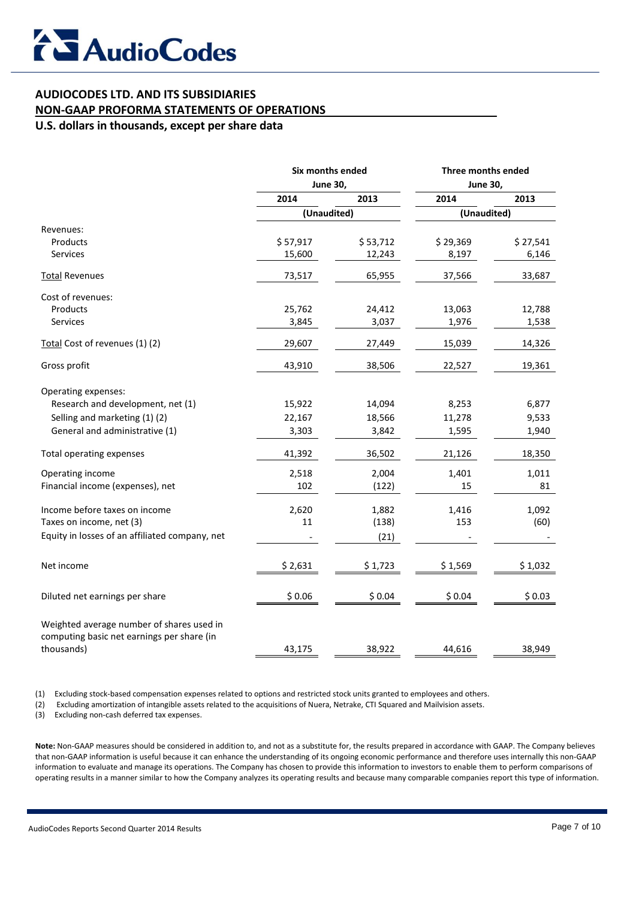## **AUDIOCODES LTD. AND ITS SUBSIDIARIES**

## **NON-GAAP PROFORMA STATEMENTS OF OPERATIONS**

**U.S. dollars in thousands, except per share data**

|                                                                                         | Six months ended<br><b>June 30,</b> |          | Three months ended<br><b>June 30,</b> |          |
|-----------------------------------------------------------------------------------------|-------------------------------------|----------|---------------------------------------|----------|
|                                                                                         |                                     |          |                                       |          |
|                                                                                         | 2014                                | 2013     | 2014                                  | 2013     |
|                                                                                         | (Unaudited)                         |          | (Unaudited)                           |          |
| Revenues:                                                                               |                                     |          |                                       |          |
| Products                                                                                | \$57,917                            | \$53,712 | \$29,369                              | \$27,541 |
| <b>Services</b>                                                                         | 15,600                              | 12,243   | 8,197                                 | 6,146    |
| <b>Total Revenues</b>                                                                   | 73,517                              | 65,955   | 37,566                                | 33,687   |
| Cost of revenues:                                                                       |                                     |          |                                       |          |
| Products                                                                                | 25,762                              | 24,412   | 13,063                                | 12,788   |
| Services                                                                                | 3,845                               | 3,037    | 1,976                                 | 1,538    |
| Total Cost of revenues (1) (2)                                                          | 29,607                              | 27,449   | 15,039                                | 14,326   |
| Gross profit                                                                            | 43,910                              | 38,506   | 22,527                                | 19,361   |
| Operating expenses:                                                                     |                                     |          |                                       |          |
| Research and development, net (1)                                                       | 15,922                              | 14,094   | 8,253                                 | 6,877    |
| Selling and marketing (1)(2)                                                            | 22,167                              | 18,566   | 11,278                                | 9,533    |
| General and administrative (1)                                                          | 3,303                               | 3,842    | 1,595                                 | 1,940    |
| Total operating expenses                                                                | 41,392                              | 36,502   | 21,126                                | 18,350   |
| Operating income                                                                        | 2,518                               | 2,004    | 1,401                                 | 1,011    |
| Financial income (expenses), net                                                        | 102                                 | (122)    | 15                                    | 81       |
| Income before taxes on income                                                           | 2,620                               | 1,882    | 1,416                                 | 1,092    |
| Taxes on income, net (3)                                                                | 11                                  | (138)    | 153                                   | (60)     |
| Equity in losses of an affiliated company, net                                          |                                     | (21)     |                                       |          |
| Net income                                                                              | \$2,631                             | \$1,723  | \$1,569                               | \$1,032  |
| Diluted net earnings per share                                                          | \$0.06                              | \$0.04   | \$0.04                                | \$0.03   |
| Weighted average number of shares used in<br>computing basic net earnings per share (in |                                     |          |                                       |          |
| thousands)                                                                              | 43,175                              | 38,922   | 44,616                                | 38,949   |

(1) Excluding stock-based compensation expenses related to options and restricted stock units granted to employees and others.

(2) Excluding amortization of intangible assets related to the acquisitions of Nuera, Netrake, CTI Squared and Mailvision assets.

(3) Excluding non-cash deferred tax expenses.

**Note:** Non-GAAP measures should be considered in addition to, and not as a substitute for, the results prepared in accordance with GAAP. The Company believes that non-GAAP information is useful because it can enhance the understanding of its ongoing economic performance and therefore uses internally this non-GAAP information to evaluate and manage its operations. The Company has chosen to provide this information to investors to enable them to perform comparisons of operating results in a manner similar to how the Company analyzes its operating results and because many comparable companies report this type of information.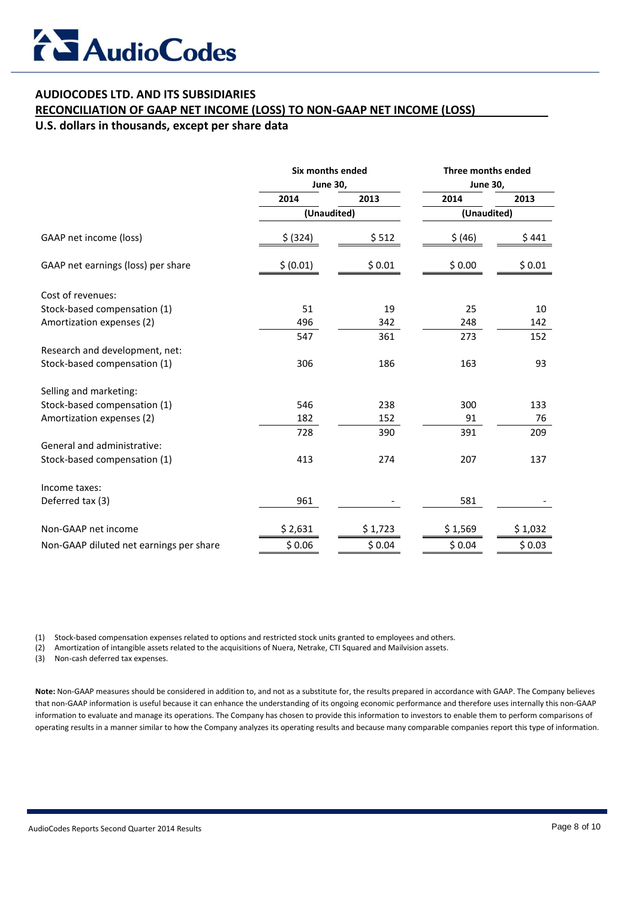## **AUDIOCODES LTD. AND ITS SUBSIDIARIES**

## **RECONCILIATION OF GAAP NET INCOME (LOSS) TO NON-GAAP NET INCOME (LOSS)**

**U.S. dollars in thousands, except per share data**

|                                         | Six months ended<br><b>June 30,</b> |         | Three months ended<br><b>June 30,</b> |         |
|-----------------------------------------|-------------------------------------|---------|---------------------------------------|---------|
|                                         |                                     |         |                                       |         |
|                                         | 2014                                | 2013    | 2014                                  | 2013    |
|                                         | (Unaudited)                         |         | (Unaudited)                           |         |
| GAAP net income (loss)                  | \$ (324)                            | \$512   | \$ (46)                               | \$441   |
| GAAP net earnings (loss) per share      | \$ (0.01)                           | \$0.01  | \$0.00                                | \$0.01  |
| Cost of revenues:                       |                                     |         |                                       |         |
| Stock-based compensation (1)            | 51                                  | 19      | 25                                    | 10      |
| Amortization expenses (2)               | 496                                 | 342     | 248                                   | 142     |
|                                         | 547                                 | 361     | 273                                   | 152     |
| Research and development, net:          |                                     |         |                                       |         |
| Stock-based compensation (1)            | 306                                 | 186     | 163                                   | 93      |
| Selling and marketing:                  |                                     |         |                                       |         |
| Stock-based compensation (1)            | 546                                 | 238     | 300                                   | 133     |
| Amortization expenses (2)               | 182                                 | 152     | 91                                    | 76      |
|                                         | 728                                 | 390     | 391                                   | 209     |
| General and administrative:             |                                     |         |                                       |         |
| Stock-based compensation (1)            | 413                                 | 274     | 207                                   | 137     |
| Income taxes:                           |                                     |         |                                       |         |
| Deferred tax (3)                        | 961                                 |         | 581                                   |         |
| Non-GAAP net income                     | \$2,631                             | \$1,723 | \$1,569                               | \$1,032 |
| Non-GAAP diluted net earnings per share | \$0.06                              | \$0.04  | \$0.04                                | \$0.03  |
|                                         |                                     |         |                                       |         |

(1) Stock-based compensation expenses related to options and restricted stock units granted to employees and others.

(2) Amortization of intangible assets related to the acquisitions of Nuera, Netrake, CTI Squared and Mailvision assets.

(3) Non-cash deferred tax expenses.

**Note:** Non-GAAP measures should be considered in addition to, and not as a substitute for, the results prepared in accordance with GAAP. The Company believes that non-GAAP information is useful because it can enhance the understanding of its ongoing economic performance and therefore uses internally this non-GAAP information to evaluate and manage its operations. The Company has chosen to provide this information to investors to enable them to perform comparisons of operating results in a manner similar to how the Company analyzes its operating results and because many comparable companies report this type of information.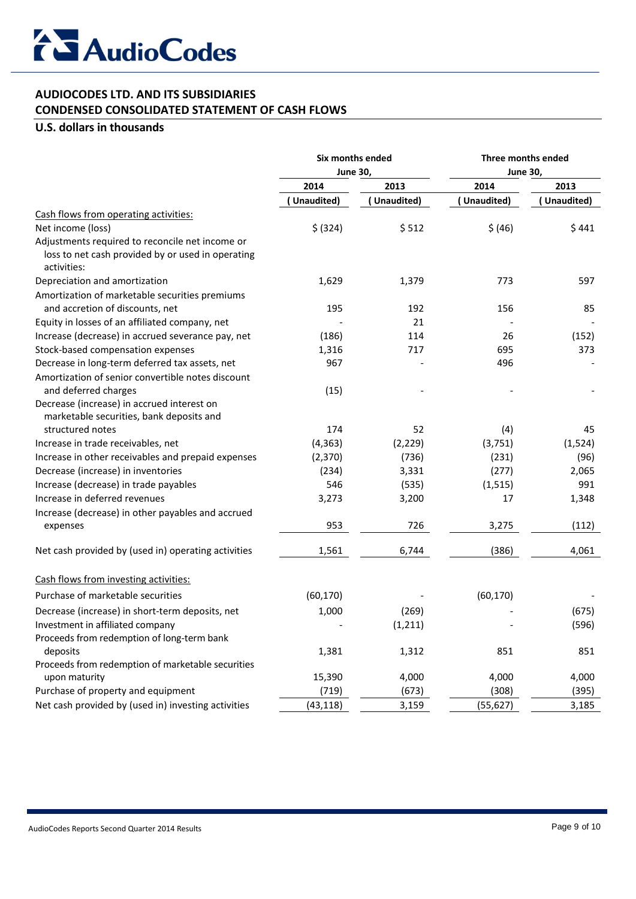

## **AUDIOCODES LTD. AND ITS SUBSIDIARIES**

**CONDENSED CONSOLIDATED STATEMENT OF CASH FLOWS**

## **U.S. dollars in thousands**

|                                                                           | Six months ended<br><b>June 30,</b> |            | Three months ended<br><b>June 30,</b> |             |
|---------------------------------------------------------------------------|-------------------------------------|------------|---------------------------------------|-------------|
|                                                                           |                                     |            |                                       |             |
|                                                                           | 2014                                | 2013       | 2014                                  | 2013        |
|                                                                           | Unaudited)                          | Unaudited) | Unaudited)                            | (Unaudited) |
| Cash flows from operating activities:                                     |                                     |            |                                       |             |
| Net income (loss)                                                         | \$ (324)                            | \$512      | \$ (46)                               | \$441       |
| Adjustments required to reconcile net income or                           |                                     |            |                                       |             |
| loss to net cash provided by or used in operating<br>activities:          |                                     |            |                                       |             |
| Depreciation and amortization                                             | 1,629                               | 1,379      | 773                                   | 597         |
| Amortization of marketable securities premiums                            |                                     |            |                                       |             |
| and accretion of discounts, net                                           | 195                                 | 192        | 156                                   | 85          |
| Equity in losses of an affiliated company, net                            |                                     | 21         |                                       |             |
| Increase (decrease) in accrued severance pay, net                         | (186)                               | 114        | 26                                    | (152)       |
| Stock-based compensation expenses                                         | 1,316                               | 717        | 695                                   | 373         |
| Decrease in long-term deferred tax assets, net                            | 967                                 |            | 496                                   |             |
| Amortization of senior convertible notes discount<br>and deferred charges | (15)                                |            |                                       |             |
| Decrease (increase) in accrued interest on                                |                                     |            |                                       |             |
| marketable securities, bank deposits and                                  |                                     |            |                                       |             |
| structured notes                                                          | 174                                 | 52         | (4)                                   | 45          |
| Increase in trade receivables, net                                        | (4, 363)                            | (2, 229)   | (3, 751)                              | (1, 524)    |
| Increase in other receivables and prepaid expenses                        | (2,370)                             | (736)      | (231)                                 | (96)        |
| Decrease (increase) in inventories                                        | (234)                               | 3,331      | (277)                                 | 2,065       |
| Increase (decrease) in trade payables                                     | 546                                 | (535)      | (1, 515)                              | 991         |
| Increase in deferred revenues                                             | 3,273                               | 3,200      | 17                                    | 1,348       |
| Increase (decrease) in other payables and accrued                         |                                     |            |                                       |             |
| expenses                                                                  | 953                                 | 726        | 3,275                                 | (112)       |
| Net cash provided by (used in) operating activities                       | 1,561                               | 6,744      | (386)                                 | 4,061       |
| Cash flows from investing activities:                                     |                                     |            |                                       |             |
| Purchase of marketable securities                                         | (60, 170)                           |            | (60, 170)                             |             |
| Decrease (increase) in short-term deposits, net                           | 1,000                               | (269)      |                                       | (675)       |
| Investment in affiliated company                                          |                                     | (1, 211)   |                                       | (596)       |
| Proceeds from redemption of long-term bank                                |                                     |            |                                       |             |
| deposits                                                                  | 1,381                               | 1,312      | 851                                   | 851         |
| Proceeds from redemption of marketable securities                         |                                     |            |                                       |             |
| upon maturity                                                             | 15,390                              | 4,000      | 4,000                                 | 4,000       |
| Purchase of property and equipment                                        | (719)                               | (673)      | (308)                                 | (395)       |
| Net cash provided by (used in) investing activities                       | (43, 118)                           | 3,159      | (55, 627)                             | 3,185       |